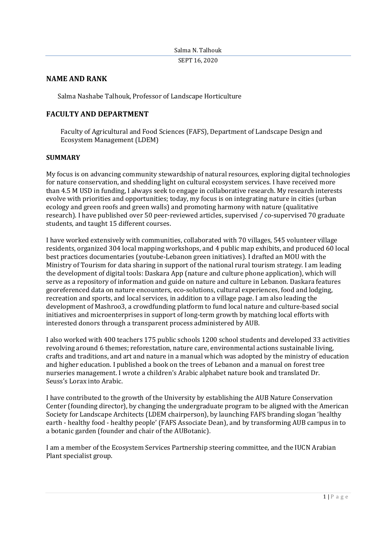# **NAME AND RANK**

Salma Nashabe Talhouk, Professor of Landscape Horticulture

# **FACULTY AND DEPARTMENT**

Faculty of Agricultural and Food Sciences (FAFS), Department of Landscape Design and Ecosystem Management (LDEM)

#### **SUMMARY**

My focus is on advancing community stewardship of natural resources, exploring digital technologies for nature conservation, and shedding light on cultural ecosystem services. I have received more than 4.5 M USD in funding, I always seek to engage in collaborative research. My research interests evolve with priorities and opportunities; today, my focus is on integrating nature in cities (urban ecology and green roofs and green walls) and promoting harmony with nature (qualitative research). I have [published](https://eur03.safelinks.protection.outlook.com/?url=https%3A%2F%2Fscholar.google.com%2Fscholar%3Fhl%3Den%26as_sdt%3D0%252C5%26q%3Dsalma%2Btalhouk%26btnG%3D&data=02%7C01%7Cntsalma%40aub.edu.lb%7C236d6983b0f94567446b08d7e7b16531%7Cc7ba5b1a41b643e9a1206ff654ada137%7C1%7C0%7C637232621407196938&sdata=wepIbwM1l277fMF3oSZL%2FnJH8uTuRaSiEtSHENwNTbc%3D&reserved=0) over 50 peer-reviewed articles, supervised / co-supervised 70 graduate students, and taught 15 different courses.

I have worked extensively with communities, collaborated with 70 villages, 545 volunteer village residents, organized 304 local mapping workshops, and 4 public map exhibits, and produced 60 local best practices documentaries (youtube-Lebanon green initiatives). I drafted an MOU with the Ministry of Tourism for data sharing in support of the national rural tourism strategy. I am leading the development of digital tools: Daskara App (nature and culture phone application), which will serve as a repository of information and guide on nature and culture in Lebanon. Daskara features georeferenced data on nature encounters, eco-solutions, cultural experiences, food and lodging, recreation and sports, and local services, in addition to a village page. I am also leading the development of Mashroo3, a crowdfunding platform to fund local nature and culture-based social initiatives and microenterprises in support of long-term growth by matching local efforts with interested donors through a transparent process administered by AUB.

I also worked with 400 teachers 175 public schools 1200 school students and developed 33 activities revolving around 6 themes; reforestation, nature care, environmental actions sustainable living, crafts and traditions, and art and nature in a manual which was adopted by the ministry of education and higher education. I published a book on the trees of Lebanon and a manual on forest tree nurseries management. I wrote a [children's Arabic alphabet nature book](https://eur03.safelinks.protection.outlook.com/?url=https%3A%2F%2Fwww.neelwafurat.com%2Fitempage.aspx%3Fid%3Dlbb296337-283605%26search%3Dbooks&data=02%7C01%7Cntsalma%40aub.edu.lb%7C236d6983b0f94567446b08d7e7b16531%7Cc7ba5b1a41b643e9a1206ff654ada137%7C1%7C0%7C637232621407226928&sdata=xPWQYTpRJ06oMrgoIMl4ZKtBjAAPwmn84riOo157bNk%3D&reserved=0) and translated Dr. Seuss's Lorax [into Arabic.](https://eur03.safelinks.protection.outlook.com/?url=https%3A%2F%2Fwww.jarirbooksusa.com%2F40913.html&data=02%7C01%7Cntsalma%40aub.edu.lb%7C236d6983b0f94567446b08d7e7b16531%7Cc7ba5b1a41b643e9a1206ff654ada137%7C1%7C0%7C637232621407236928&sdata=d1ui1A1adWGniNoGiYN6Uls0xE1RJElS7dBybKgleaU%3D&reserved=0)

I have contributed to the growth of the University by establishing the [AUB Nature Conservation](https://eur03.safelinks.protection.outlook.com/?url=https%3A%2F%2Fwww.aub.edu.lb%2Fnatureconservation%2FPages%2Fdefault.aspx&data=02%7C01%7Cntsalma%40aub.edu.lb%7C236d6983b0f94567446b08d7e7b16531%7Cc7ba5b1a41b643e9a1206ff654ada137%7C1%7C0%7C637232621407206937&sdata=CuWQZmoJMvZyDQ%2BEoQe5R9oQjBl6TA69qqLD32JZngg%3D&reserved=0)  [Center](https://eur03.safelinks.protection.outlook.com/?url=https%3A%2F%2Fwww.aub.edu.lb%2Fnatureconservation%2FPages%2Fdefault.aspx&data=02%7C01%7Cntsalma%40aub.edu.lb%7C236d6983b0f94567446b08d7e7b16531%7Cc7ba5b1a41b643e9a1206ff654ada137%7C1%7C0%7C637232621407206937&sdata=CuWQZmoJMvZyDQ%2BEoQe5R9oQjBl6TA69qqLD32JZngg%3D&reserved=0) (founding director), by changing the undergraduate program to be aligned with the American Society for Landscape Architects (LDEM chairperson), by launching FAFS branding slogan 'healthy earth - healthy food - healthy people' (FAFS Associate Dean), and by transforming AUB campus in to a botanic garden (founder and chair of the [AUBotanic\)](https://eur03.safelinks.protection.outlook.com/?url=https%3A%2F%2Fwww.aub.edu.lb%2Fbotanicgarden%2FPages%2Fdefault.aspx&data=02%7C01%7Cntsalma%40aub.edu.lb%7C236d6983b0f94567446b08d7e7b16531%7Cc7ba5b1a41b643e9a1206ff654ada137%7C1%7C0%7C637232621407216927&sdata=7MZtZAdRACo01BW0OxzJ4g50%2FnvjmXaa%2BN8d9jqHqlo%3D&reserved=0).

I am a member of the [Ecosystem Services Partnership](https://eur03.safelinks.protection.outlook.com/?url=https%3A%2F%2Fwww.es-partnership.org%2F&data=02%7C01%7Cntsalma%40aub.edu.lb%7C236d6983b0f94567446b08d7e7b16531%7Cc7ba5b1a41b643e9a1206ff654ada137%7C1%7C0%7C637232621407216927&sdata=1sGKBB6RSvFlG9%2BwWiRcPuqdI2MLDBZ00wJZB%2FL84Jc%3D&reserved=0) steering committee, and the IUCN Arabian Plant specialist group.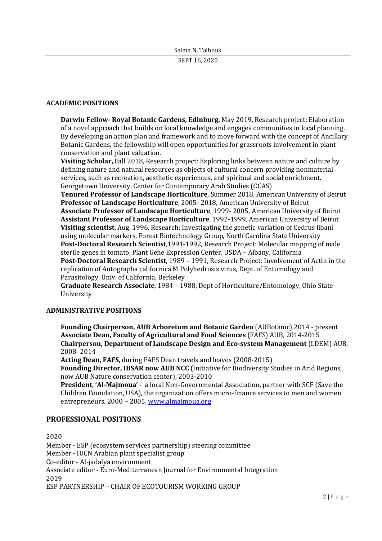#### **ACADEMIC POSITIONS**

**Darwin Fellow- Royal Botanic Gardens, Edinburg,** May 2019, Research project: Elaboration of a novel approach that builds on local knowledge and engages communities in local planning. By developing an action plan and framework and to move forward with the concept of Ancillary Botanic Gardens, the fellowship will open opportunities for grassroots involvement in plant conservation and plant valuation.

**Visiting Scholar,** Fall 2018, Research project: Exploring links between nature and culture by defining nature and natural resources as objects of cultural concern providing nonmaterial services, such as recreation, aesthetic experiences, and spiritual and social enrichment. Georgetown University, Center for Contemporary Arab Studies (CCAS)

**Tenured Professor of Landscape Horticulture**, Summer 2018, American University of Beirut **Professor of Landscape Horticulture**, 2005- 2018, American University of Beirut **Associate Professor of Landscape Horticulture**, 1999- 2005, American University of Beirut **Assistant Professor of Landscape Horticulture**, 1992-1999, American University of Beirut **Visiting scientist**, Aug. 1996, Research: Investigating the genetic variation of Cedrus libani using molecular markers, Forest Biotechnology Group, North Carolina State University **Post-Doctoral Research Scientist**,1991-1992, Research Project: Molecular mapping of male sterile genes in tomato, Plant Gene Expression Center, USDA – Albany, California **Post-Doctoral Research Scientist**, 1989 – 1991, Research Project: Involvement of Actin in the replication of Autographa californica M Polyhedrosis virus, Dept. of Entomology and Parasitology, Univ. of California, Berkeley

**Graduate Research Associate**, 1984 – 1988, Dept of Horticulture/Entomology, Ohio State University

#### **ADMINISTRATIVE POSITIONS**

**Founding Chairperson, AUB Arboretum and Botanic Garden** (AUBotanic) 2014 - present **Associate Dean, Faculty of Agricultural and Food Sciences** (FAFS) AUB, 2014-2015 **Chairperson, Department of Landscape Design and Eco-system Management** (LDEM) AUB, 2008- 2014

**Acting Dean, FAFS,** during FAFS Dean travels and leaves (2008-2015)

**Founding Director, IBSAR now AUB NCC** (Initiative for Biodiversity Studies in Arid Regions, now AUB Nature conservation center), 2003-2010

**President**, **'Al-Majmoua'** - a local Non-Governmental Association, partner with SCF (Save the Children Foundation, USA), the organization offers micro-finance services to men and women entrepreneurs. 2000 – 2005, [www.almajmoua.org](http://www.almajmoua.org/)

## **PROFESSIONAL POSITIONS**

2020 Member - ESP (ecosystem services partnership) steering committee Member - IUCN Arabian plant specialist group Co-editor - Al-jadalya environment Associate editor - Euro-Mediterranean Journal for Environmental Integration 2019 ESP PARTNERSHIP – CHAIR OF ECOTOURISM WORKING GROUP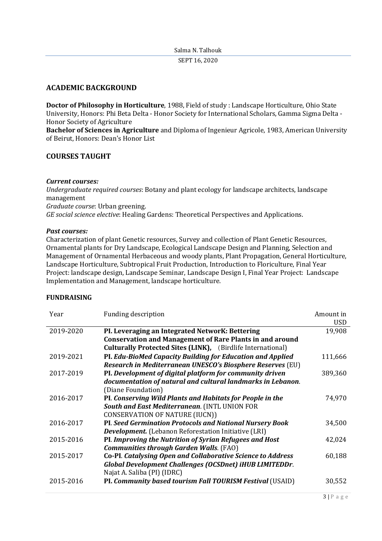## Salma N. Talhouk SEPT 16, 2020

# **ACADEMIC BACKGROUND**

**Doctor of Philosophy in Horticulture**, 1988, Field of study : Landscape Horticulture, Ohio State University, Honors: Phi Beta Delta - Honor Society for International Scholars, Gamma Sigma Delta - Honor Society of Agriculture

**Bachelor of Sciences in Agriculture** and Diploma of Ingenieur Agricole, 1983, American University of Beirut, Honors: Dean's Honor List

# **COURSES TAUGHT**

#### *Current courses:*

*Undergraduate required courses*: Botany and plant ecology for landscape architects, landscape management *Graduate course*: Urban greening. *GE social science elective*: Healing Gardens: Theoretical Perspectives and Applications.

#### *Past courses:*

Characterization of plant Genetic resources, Survey and collection of Plant Genetic Resources, Ornamental plants for Dry Landscape, Ecological Landscape Design and Planning, Selection and Management of Ornamental Herbaceous and woody plants, Plant Propagation, General Horticulture, Landscape Horticulture, Subtropical Fruit Production, Introduction to Floriculture, Final Year Project: landscape design, Landscape Seminar, Landscape Design I, Final Year Project: Landscape Implementation and Management, landscape horticulture.

#### **FUNDRAISING**

| Year      | <b>Funding description</b>                                         | Amount in  |
|-----------|--------------------------------------------------------------------|------------|
|           |                                                                    | <b>USD</b> |
| 2019-2020 | PI. Leveraging an Integrated NetworK: Bettering                    | 19,908     |
|           | <b>Conservation and Management of Rare Plants in and around</b>    |            |
|           | <b>Culturally Protected Sites (LINK),</b> (Birdlife International) |            |
| 2019-2021 | PI. Edu-BioMed Capacity Building for Education and Applied         | 111,666    |
|           | Research in Mediterranean UNESCO's Biosphere Reserves (EU)         |            |
| 2017-2019 | PI. Development of digital platform for community driven           | 389,360    |
|           | documentation of natural and cultural landmarks in Lebanon.        |            |
|           | (Diane Foundation)                                                 |            |
| 2016-2017 | PI. Conserving Wild Plants and Habitats for People in the          | 74,970     |
|           | South and East Mediterranean. (INTL UNION FOR                      |            |
|           | <b>CONSERVATION OF NATURE (IUCN))</b>                              |            |
| 2016-2017 | <b>PI. Seed Germination Protocols and National Nursery Book</b>    | 34,500     |
|           | <b>Development.</b> (Lebanon Reforestation Initiative (LRI)        |            |
| 2015-2016 | PI. Improving the Nutrition of Syrian Refugees and Host            | 42,024     |
|           | <b>Communities through Garden Walls. (FAO)</b>                     |            |
| 2015-2017 | <b>Co-PI.</b> Catalysing Open and Collaborative Science to Address | 60,188     |
|           | Global Development Challenges (OCSDnet) iHUB LIMITEDDr.            |            |
|           | Najat A. Saliba (PI) (IDRC)                                        |            |
| 2015-2016 | PI. Community based tourism Fall TOURISM Festival (USAID)          | 30,552     |
|           |                                                                    |            |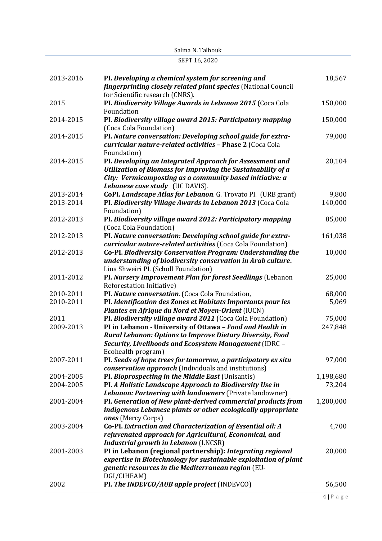| 2013-2016              | PI. Developing a chemical system for screening and<br><i>fingerprinting closely related plant species</i> (National Council                                                                                                                                                 | 18,567              |
|------------------------|-----------------------------------------------------------------------------------------------------------------------------------------------------------------------------------------------------------------------------------------------------------------------------|---------------------|
| 2015                   | for Scientific research (CNRS).<br>PI. Biodiversity Village Awards in Lebanon 2015 (Coca Cola                                                                                                                                                                               | 150,000             |
| 2014-2015              | Foundation<br>PI. Biodiversity village award 2015: Participatory mapping                                                                                                                                                                                                    | 150,000             |
| 2014-2015              | (Coca Cola Foundation)<br>PI. Nature conversation: Developing school guide for extra-<br>curricular nature-related activities - Phase 2 (Coca Cola                                                                                                                          | 79,000              |
| 2014-2015              | Foundation)<br>PI. Developing an Integrated Approach for Assessment and<br>Utilization of Biomass for Improving the Sustainability of a<br>City: Vermicomposting as a community based initiative: a                                                                         | 20,104              |
| 2013-2014<br>2013-2014 | Lebanese case study (UC DAVIS).<br>CoPI. Landscape Atlas for Lebanon. G. Trovato PI. (URB grant)<br>PI. Biodiversity Village Awards in Lebanon 2013 (Coca Cola                                                                                                              | 9,800<br>140,000    |
| 2012-2013              | Foundation)<br>PI. Biodiversity village award 2012: Participatory mapping<br>(Coca Cola Foundation)                                                                                                                                                                         | 85,000              |
| 2012-2013              | PI. Nature conversation: Developing school guide for extra-<br>curricular nature-related activities (Coca Cola Foundation)                                                                                                                                                  | 161,038             |
| 2012-2013              | Co-PI. Biodiversity Conservation Program: Understanding the<br>understanding of biodiversity conservation in Arab culture.<br>Lina Shweiri PI. (Scholl Foundation)                                                                                                          | 10,000              |
| 2011-2012              | PI. Nursery Improvement Plan for forest Seedlings (Lebanon<br>Reforestation Initiative)                                                                                                                                                                                     | 25,000              |
| 2010-2011              | PI. Nature conversation. (Coca Cola Foundation,                                                                                                                                                                                                                             | 68,000              |
| 2010-2011              | PI. Identification des Zones et Habitats Importants pour les<br>Plantes en Afrique du Nord et Moyen-Orient (IUCN)                                                                                                                                                           | 5,069               |
| 2011<br>2009-2013      | PI. Biodiversity village award 2011 (Coca Cola Foundation)<br>PI in Lebanon - University of Ottawa - Food and Health in<br><b>Rural Lebanon: Options to Improve Dietary Diversity, Food</b><br>Security, Livelihoods and Ecosystem Management (IDRC -<br>Ecohealth program) | 75,000<br>247,848   |
| 2007-2011              | PI. Seeds of hope trees for tomorrow, a participatory ex situ<br><i>conservation approach</i> (Individuals and institutions)                                                                                                                                                | 97,000              |
| 2004-2005<br>2004-2005 | PI. Bioprospecting in the Middle East (Unisantis)<br>PI. A Holistic Landscape Approach to Biodiversity Use in<br>Lebanon: Partnering with landowners (Private landowner)                                                                                                    | 1,198,680<br>73,204 |
| 2001-2004              | PI. Generation of New plant-derived commercial products from<br>indigenous Lebanese plants or other ecologically appropriate                                                                                                                                                | 1,200,000           |
| 2003-2004              | ones (Mercy Corps)<br>Co-PI. Extraction and Characterization of Essential oil: A<br>rejuvenated approach for Agricultural, Economical, and<br><b>Industrial growth in Lebanon (LNCSR)</b>                                                                                   | 4,700               |
| 2001-2003              | PI in Lebanon (regional partnership): Integrating regional<br>expertise in Biotechnology for sustainable exploitation of plant<br>genetic resources in the Mediterranean region (EU-                                                                                        | 20,000              |
| 2002                   | DGI/CIHEAM)<br>PI. The INDEVCO/AUB apple project (INDEVCO)                                                                                                                                                                                                                  | 56,500              |

# SEPT 16, 2020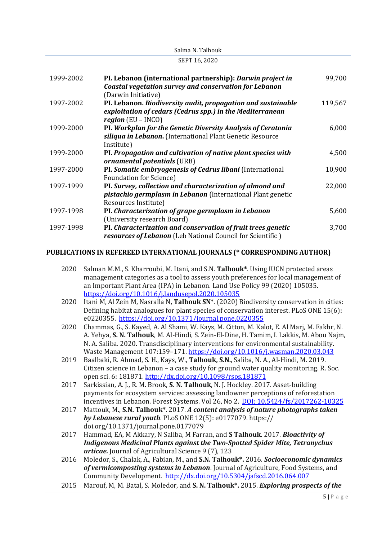|           | JEF I 10, 2020                                                                                                                                          |         |
|-----------|---------------------------------------------------------------------------------------------------------------------------------------------------------|---------|
| 1999-2002 | PI. Lebanon (international partnership): Darwin project in<br><b>Coastal vegetation survey and conservation for Lebanon</b><br>(Darwin Initiative)      | 99,700  |
| 1997-2002 | PI. Lebanon. Biodiversity audit, propagation and sustainable<br>exploitation of cedars (Cedrus spp.) in the Mediterranean<br>region $(EU - INCO)$       | 119,567 |
| 1999-2000 | PI. Workplan for the Genetic Diversity Analysis of Ceratonia<br>siliqua in Lebanon. (International Plant Genetic Resource<br>Institute)                 | 6,000   |
| 1999-2000 | PI. Propagation and cultivation of native plant species with<br>ornamental potentials (URB)                                                             | 4,500   |
| 1997-2000 | PI. Somatic embryogenesis of Cedrus libani (International<br><b>Foundation for Science</b> )                                                            | 10,900  |
| 1997-1999 | PI. Survey, collection and characterization of almond and<br><i>pistachio germplasm in Lebanon</i> (International Plant genetic<br>Resources Institute) | 22,000  |
| 1997-1998 | PI. Characterization of grape germplasm in Lebanon<br>(University research Board)                                                                       | 5,600   |
| 1997-1998 | PI. Characterization and conservation of fruit trees genetic<br>resources of Lebanon (Leb National Council for Scientific)                              | 3,700   |

Salma N. Talhouk  $\overline{\text{CDP} + C}$  2020

#### **PUBLICATIONS IN REFEREED INTERNATIONAL JOURNALS (\* CORRESPONDING AUTHOR)**

- 2020 Salman M.M., S. Kharroubi, M. Itani, and S.N. **Talhouk\***. Using IUCN protected areas management categories as a tool to assess youth preferences for local management of an Important Plant Area (IPA) in Lebanon. Land Use Policy 99 (2020) 105035. <https://doi.org/10.1016/j.landusepol.2020.105035>
- 2020 Itani M, Al Zein M, Nasralla N, **Talhouk SN**\*. (2020) Biodiversity conservation in cities: Defining habitat analogues for plant species of conservation interest. PLoS ONE 15(6): e0220355.<https://doi.org/10.1371/journal.pone.0220355>
- 2020 Chammas, G., S. Kayed, A. Al Shami, W. Kays, M. Citton, M. Kalot, E. Al Marj, M. Fakhr, N. A. Yehya, **S. N. Talhouk**, M. Al-Hindi, S. Zein-El-Dine, H. Tamim, I. Lakkis, M. Abou Najm, N. A. Saliba. 2020. Transdisciplinary interventions for environmental sustainability. Waste Management 107:159–171. <https://doi.org/10.1016/j.wasman.2020.03.043>
- 2019 Baalbaki, R. Ahmad, S. H., Kays, W., **Talhouk, S.N.**, Saliba, N. A., Al-Hindi, M. 2019. Citizen science in Lebanon – a case study for ground water quality monitoring. R. Soc. open sci. 6: 181871[. http://dx.doi.org/10.1098/rsos.181871](http://dx.doi.org/10.1098/rsos.181871)
- 2017 Sarkissian, A. J., R. M. Brook, **S. N. Talhouk**, N. J. Hockley. 2017. Asset-building payments for ecosystem services: assessing landowner perceptions of reforestation incentives in Lebanon. Forest Systems. Vol 26, No 2. DOI: [10.5424/fs/2017262-10325](http://dx.doi.org/10.5424/fs/2017262-10325)
- 2017 Mattouk, M., **S.N. Talhouk\***. 2017. *A content analysis of nature photographs taken by Lebanese rural youth*. PLoS ONE 12(5): e0177079. https:// doi.org/10.1371/journal.pone.0177079
- 2017 Hammad, EA, M Akkary, N Saliba, M Farran, and **S Talhouk**. 2017. *Bioactivity of Indigenous Medicinal Plants against the Two-Spotted Spider Mite, Tetranychus urticae.* Journal of Agricultural Science 9 (7), 123
- 2016 Moledor, S., Chalak, A., Fabian, M., and **S.N. Talhouk\*.** 2016. *Socioeconomic dynamics of vermicomposting systems in Lebanon*. Journal of Agriculture, Food Systems, and Community Development. <http://dx.doi.org/10.5304/jafscd.2016.064.007>
- 2015 Marouf, M, M. Batal, S. Moledor, and **S. N. Talhouk\*.** 2015. *Exploring prospects of the*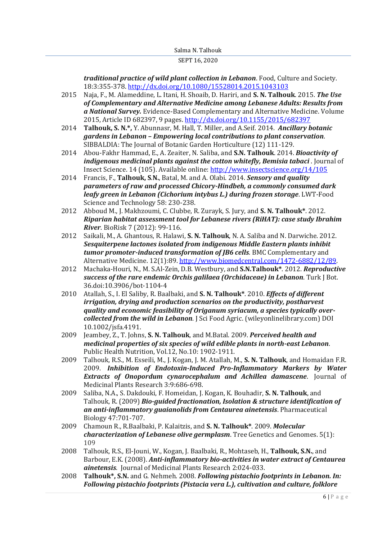*traditional practice of wild plant collection in Lebanon*. Food, Culture and Society. 18:3:355-378[. http://dx.doi.org/10.1080/15528014.2015.1043103](http://dx.doi.org/10.1080/15528014.2015.1043103)

- 2015 Naja, F., M. Alameddine, L. Itani, H. Shoaib, D. Hariri, and **S. N. Talhouk**. 2015. *The Use of Complementary and Alternative Medicine among Lebanese Adults: Results from a National Survey.* Evidence-Based Complementary and Alternative Medicine. Volume 2015, Article ID 682397, 9 pages.<http://dx.doi.org/10.1155/2015/682397>
- 2014 **Talhouk, S. N.\*,** Y. Abunnasr, M. Hall, T. Miller, and A.Seif. 2014. *Ancillary botanic gardens in Lebanon – Empowering local contributions to plant conservation*. SIBBALDIA: The Journal of Botanic Garden Horticulture (12) 111-129.
- 2014 Abou-Fakhr Hammad, E., A. Zeaiter, N. Saliba, and **S.N. Talhouk**. 2014. *Bioactivity of indigenous medicinal plants against the cotton whitefly, Bemisia tabaci* . Journal of Insect Science. 14 (105). Available online:<http://www.insectscience.org/14/105>
- 2014 Francis, F., **Talhouk, S**.**N.**, Batal, M. and A. Olabi. 2014. *Sensory and quality parameters of raw and processed Chicory-Hindbeh, a commonly consumed dark leafy green in Lebanon (Cichorium intybus L.) during frozen storage*. LWT-Food Science and Technology 58: 230-238.
- 2012 Abboud M., J. Makhzoumi, C. Clubbe, R. Zurayk, S. Jury, and **S. N. Talhouk\***. 2012. *Riparian habitat assessment tool for Lebanese rivers (RiHAT): case study Ibrahim River*[. BioRisk 7 \(2012\): 99-116.](http://www.pensoft.net/journals/biorisk/issue/7/)
- 2012 Saikali, M., A. Ghantous, R. Halawi, **S. N. Talhouk**, N. A. Saliba and N. Darwiche. 2012. *Sesquiterpene lactones isolated from indigenous Middle Eastern plants inhibit tumor promoter-induced transformation of JB6 cells*. BMC Complementary and Alternative Medicine. 12(1):89. http://www.biomedcentral.com/1472-6882/12/89.
- 2012 Machaka-Houri, N., M. S.Al-Zein, D.B. Westbury, and **S.N.Talhouk\***. 2012. *Reproductive success of the rare endemic Orchis galilaea (Orchidaceae) in Lebanon*. Turk J Bot. 36.doi:10.3906/bot-1104-4
- 2010 Atallah, S., I. El Saliby, R. Baalbaki, and **S. N. Talhouk\***. 2010. *Effects of different irrigation, drying and production scenarios on the productivity, postharvest quality and economic feasibility of Origanum syriacum, a species typically overcollected from the wild in Lebanon*. J Sci Food Agric. (wileyonlinelibrary.com) DOI 10.1002/jsfa.4191.
- 2009 Jeambey, Z., T. Johns, **S. N. Talhouk**, and M.Batal. 2009. *Perceived health and medicinal properties of six species of wild edible plants in north-east Lebanon*. Public Health Nutrition, Vol.12, No.10: 1902-1911.
- 2009 Talhouk, R.S., M. Esseili, M., J. Kogan, J. M. Atallah, M., **S. N. Talhouk**, and Homaidan F.R. 2009. *Inhibition of Endotoxin-Induced Pro-Inflammatory Markers by Water Extracts of Onopordum cynarocephalum and Achillea damascene*. Journal of Medicinal Plants Research 3:9:686-698.
- 2009 Saliba, N.A., S. Dakdouki, F. Homeidan, J. Kogan, K. Bouhadir, **S. N. Talhouk**, and Talhouk, R. (2009) *Bio-guided fractionation, Isolation & structure identification of an anti-inflammatory guaianolids from Centaurea ainetensis*. Pharmaceutical Biology 47:701-707.
- 2009 Chamoun R., R.Baalbaki, P. Kalaitzis, and **S. N. Talhouk\***. 2009. *Molecular characterization of Lebanese olive germplasm*. Tree Genetics and Genomes. 5(1): 109
- 2008 Talhouk, R.S., El-Jouni, W., Kogan, J. Baalbaki, R., Mohtaseb, H., **Talhouk, S.N.**, and Barbour, E.K. (2008). *Anti-inflammatory bio-activities in water extract of Centaurea ainetensis*. Journal of Medicinal Plants Research 2:024-033.
- 2008 **Talhouk\*, S.N.** and G. Nehmeh. 2008. *Following pistachio footprints in Lebanon. In: Following pistachio footprints (Pistacia vera L.), cultivation and culture, folklore*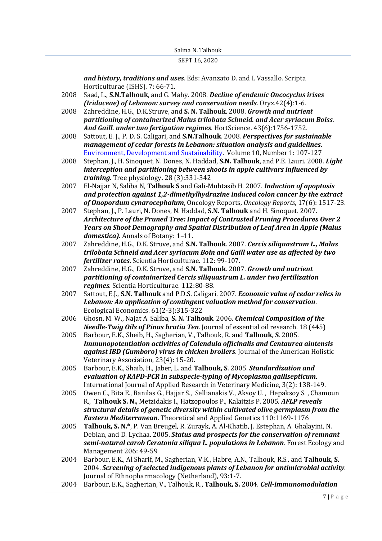#### SEPT 16, 2020

*and history, traditions and uses*. Eds: Avanzato D. and I. Vassallo. Scripta Horticulturae (ISHS). 7: 66-71.

- 2008 Saad, L., **S.N.Talhouk**, and G. Mahy. 2008. *Decline of endemic Oncocyclus irises (Iridaceae) of Lebanon: survey and conservation needs*. Oryx.42(4):1-6.
- 2008 Zahreddine, H.G., D.K.Struve, and **S. N. Talhouk**. 2008. *Growth and nutrient partitioning of containerized Malus trilobata Schneid. and Acer syriacum Boiss. And Gaill. under two fertigation regimes*. HortScience. 43(6):1756-1752.
- 2008 Sattout, E. J., P. D. S. Caligari, and **S.N.Talhouk**. 2008. *Perspectives for sustainable management of cedar forests in Lebanon: situation analysis and guidelines*. [Environment, Development and Sustainability.](http://www.springerlink.com/content/102874/?p=4674ad231b4844d695204704b7d6a41f&pi=0) Volume 10, Number 1: 107-127
- 2008 Stephan, J., H. Sinoquet, N. Dones, N. Haddad, **S.N. Talhouk**, and P.E. Lauri. 2008. *[Light](http://search.ebscohost.com/login.aspx?direct=true&AuthType=ip,url,cookie,uid&an=IND44038597&db=agr&scope=site&site=ehost)  [interception and partitioning between shoots in apple cultivars influenced by](http://search.ebscohost.com/login.aspx?direct=true&AuthType=ip,url,cookie,uid&an=IND44038597&db=agr&scope=site&site=ehost)  [training](http://search.ebscohost.com/login.aspx?direct=true&AuthType=ip,url,cookie,uid&an=IND44038597&db=agr&scope=site&site=ehost)*. Tree physiology**.** 28 (3):331-342
- 2007 El-Najjar N, Saliba N, **Talhouk S** and Gali-Muhtasib H. 2007. *Induction of apoptosis and protection against 1,2-dimethylhydrazine induced colon cancer by the extract of Onopordum cynarocephalum*, Oncology Reports, *Oncology Reports*, 17(6): 1517-23.
- 2007 Stephan, J., P. Lauri, N. Dones, N. Haddad, **S.N. Talhouk** and H. Sinoquet. 2007. *Architecture of the Pruned Tree: Impact of Contrasted Pruning Procedures Over 2 Years on Shoot Demography and Spatial Distribution of Leaf Area in Apple (Malus domestica)*. Annals of Botany: 1–11.
- 2007 Zahreddine, H.G., D.K. Struve, and **S.N. Talhouk**. 2007. *Cercis siliquastrum L., Malus trilobata Schneid and Acer syriacum Boin and Gaill water use as affected by two fertilizer rates*. Scientia Horticulturae. 112: 99-107.
- 2007 Zahreddine, H.G., D.K. Struve, and **S.N. Talhouk**. 2007. *Growth and nutrient partitioning of containerized Cercis siliquastrum L. under two fertilization regimes*. Scientia Horticulturae. 112:80-88.
- 2007 Sattout, E.J., **S.N. Talhouk** and P.D.S. Caligari. 2007. *Economic value of cedar relics in Lebanon: An application of contingent valuation method for conservation*. Ecological Economics. 61(2-3):315-322
- 2006 Ghosn, M. W., Najat A. Saliba, **S. N. Talhouk**. 2006. *Chemical Composition of the Needle-Twig Oils of Pinus brutia Ten*. Journal of essential oil research. 18 (445)
- 2005 Barbour, E.K., Sheib, H., Sagherian, V., Talhouk, R. and **Talhouk, S**. 2005. *Immunopotentiation activities of Calendula officinalis and Centaurea aintensis against IBD (Gumboro) virus in chicken broilers*. Journal of the American Holistic Veterinary Association, 23(4): 15-20.
- 2005 Barbour, E.K., Shaib, H., Jaber, L. and **Talhouk, S**. 2005. *Standardization and evaluation of RAPD-PCR in subspecie-typing of Mycoplasma gallisepticum*. International Journal of Applied Research in Veterinary Medicine, 3(2): 138-149.
- 2005 Owen C., Bita E., Banilas G., Hajjar S., Sellianakis V., Aksoy U. , Hepaksoy S. , Chamoun R., **Talhouk S. N.,** Metzidakis I., Hatzopoulos P., Kalaitzis P. 2005. *AFLP reveals structural details of genetic diversity within cultivated olive germplasm from the Eastern Mediterranean*. Theoretical and Applied Genetics 110:1169-1176
- 2005 **Talhouk, S. N.\***, P. Van Breugel, R. Zurayk, A. Al-Khatib, J. Estephan, A. Ghalayini, N. Debian, and D. Lychaa. 2005. *Status and prospects for the conservation of remnant semi-natural carob Ceratonia siliqua L. populations in Lebanon*. Forest Ecology and Management 206: 49-59
- 2004 Barbour, E.K., Al Sharif, M., Sagherian, V.K., Habre, A.N., Talhouk, R.S., and **Talhouk, S**. 2004. *Screening of selected indigenous plants of Lebanon for antimicrobial activity*. Journal of Ethnopharmacology (Netherland), 93:1-7.
- 2004 Barbour, E.K., Sagherian, V., Talhouk, R., **Talhouk, S.** 2004. *Cell-immunomodulation*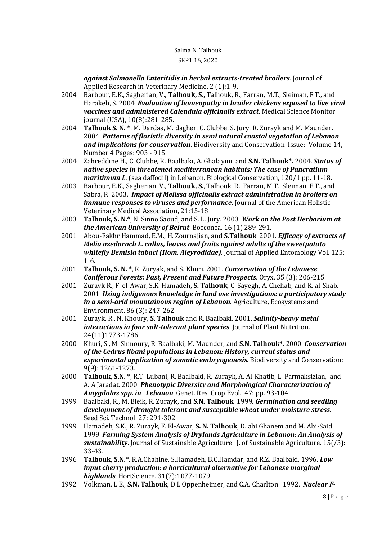#### SEPT 16, 2020

*against Salmonella Enteritidis in herbal extracts-treated broilers*. Journal of Applied Research in Veterinary Medicine, 2 (1):1-9.

- 2004 Barbour, E.K., Sagherian, V., **Talhouk, S.,** Talhouk, R., Farran, M.T., Sleiman, F.T., and Harakeh, S. 2004. *Evaluation of homeopathy in broiler chickens exposed to live viral vaccines and administered Calendula officinalis extract*, Medical Science Monitor journal (USA), 10(8):281-285.
- 2004 **Talhouk S. N. \***, M. Dardas, M. dagher, C. Clubbe, S. Jury, R. Zurayk and M. Maunder. 2004. *Patterns of floristic diversity in semi natural coastal vegetation of Lebanon and implications for conservation*. Biodiversity and Conservation Issue: Volume 14, Number 4 Pages: 903 - 915
- 2004 Zahreddine H., C. Clubbe, R. Baalbaki, A. Ghalayini, and **S.N. Talhouk\*.** 2004. *Status of native species in threatened mediterranean habitats: The case of Pancratium maritimum L.* (sea daffodil) in Lebanon. Biological Conservation, 120/1 pp. 11-18.
- 2003 Barbour, E.K., Sagherian, V., **Talhouk, S.**, Talhouk, R., Farran, M.T., Sleiman, F.T., and Sabra, R. 2003. *Impact of Melissa officinalis extract administration in broilers on immune responses to viruses and performance*. Journal of the American Holistic Veterinary Medical Association, 21:15-18
- 2003 **Talhouk, S. N.\***, N. Sinno Saoud, and S. L. Jury. 2003. *Work on the Post Herbarium at the American University of Beirut*. Bocconea. 16 (1) 289-291.
- 2001 Abou-Fakhr Hammad, E.M., H. Zournajian, and **S.Talhouk**. 2001. *Efficacy of extracts of Melia azedarach L. callus, leaves and fruits against adults of the sweetpotato whitefly Bemisia tabaci (Hom. Aleyrodidae)*. Journal of Applied Entomology Vol. 125: 1-6.
- 2001 **Talhouk, S. N. \***, R. Zuryak, and S. Khuri. 2001. *Conservation of the Lebanese Coniferous Forests: Past, Present and Future Prospects*. Oryx. 35 (3): 206-215.
- 2001 Zurayk R., F. el-Awar, S.K. Hamadeh, **S. Talhouk**, C. Sayegh, A. Chehab, and K. al-Shab. 2001. *Using indigenous knowledge in land use investigations: a participatory study in a semi-arid mountainous region of Lebanon*. Agriculture, Ecosystems and Environment. 86 (3): 247-262.
- 2001 Zurayk, R., N. Khoury, **S. Talhouk** and R. Baalbaki. 2001. *Salinity-heavy metal interactions in four salt-tolerant plant species*. Journal of Plant Nutrition. 24(11)1773-1786.
- 2000 Khuri, S., M. Shmoury, R. Baalbaki, M. Maunder, and **S.N. Talhouk\***. 2000. *Conservation of the Cedrus libani populations in Lebanon: History, current status and experimental application of somatic embryogenesis*. Biodiversity and Conservation: 9(9): 1261-1273.
- 2000 **Talhouk, S.N. \***, R.T. Lubani, R. Baalbaki, R. Zurayk, A. Al-Khatib, L. Parmaksizian, and A. A.Jaradat. 2000. *Phenotypic Diversity and Morphological Characterization of Amygdalus spp. in Lebanon*. Genet. Res. Crop Evol., 47: pp. 93-104.
- 1999 Baalbaki, R., M. Bleik, R. Zurayk, and **S.N. Talhouk**. 1999. *Germination and seedling development of drought tolerant and susceptible wheat under moisture stress*. Seed Sci. Technol. 27: 291-302.
- 1999 Hamadeh, S.K., R. Zurayk, F. El-Awar, **S. N. Talhouk**, D. abi Ghanem and M. Abi-Said. 1999. *Farming System Analysis of Drylands Agriculture in Lebanon: An Analysis of sustainability*. Journal of Sustainable Agriculture. J. of Sustainable Agriculture. 15(/3): 33-43.
- 1996 **Talhouk, S.N.\***, R.A.Chahine, S.Hamadeh, B.C.Hamdar, and R.Z. Baalbaki. 1996. *Low input cherry production: a horticultural alternative for Lebanese marginal highlands*. HortScience. 31(7):1077-1079.
- 1992 Volkman, L.E., **S.N. Talhouk**, D.I. Oppenheimer, and C.A. Charlton. 1992. *Nuclear F-*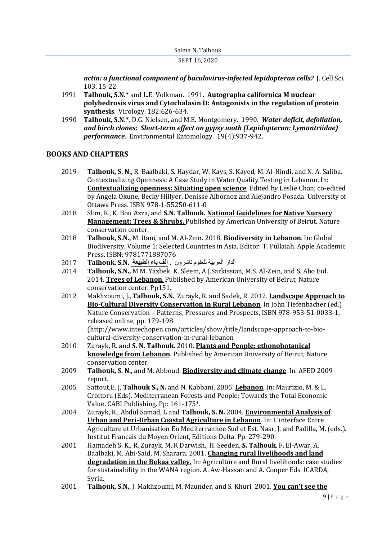*actin: a functional component of baculovirus-infected lepidopteran cells?* J. Cell Sci. 103, 15-22.

- 1991 **Talhouk, S.N.\*** and L.E. Volkman. 1991. **Autographa californica M nuclear polyhedrosis virus and Cytochalasin D: Antagonists in the regulation of protein synthesis**. Virology. 182:626-634.
- 1990 **Talhouk, S.N.\***, D.G. Nielsen, and M.E. Montgomery. 1990. *Water deficit, defoliation, and birch clones: Short-term effect on gypsy moth (Lepidopteran: Lymantriidae) performance*. Environmental Entomology. 19(4):937-942.

## **BOOKS AND CHAPTERS**

- 2019 **Talhouk, S. N.,** R. Baalbaki, S. Haydar, W. Kays, S. Kayed, M. Al-Hindi, and N. A. Saliba**.** Contextualizing Openness: A Case Study in Water Quality Testing in Lebanon. In: **Contextualizing openness: Situating open science**. Edited by Leslie Chan; co-edited by Angela Okune, Becky Hillyer, Denisse Albornoz and Alejandro Posada. University of Ottawa Press. ISBN 978-1-55250-611-0
- 2018 Slim, K., K. Bou Azza, and **S.N. Talhouk. National Guidelines for Native Nursery Management: Trees & Shrubs.** Published by American University of Beirut, Nature conservation center.
- 2018 **Talhouk, S.N.,** M. Itani, and M. Al-Zein**.** 2018. **Biodiversity in Lebanon**. In: Global Biodiversity, Volume 1: Selected Countries in Asia. Editor: T. Pullaiah. Apple Academic Press. ISBN: 9781771887076
- ألدار ألعربية للعلوم ناشرون **. ألف باء ألطبيعة .N.S ,Talhouk** 2017
- 2014 **Talhouk, S.N.,** M.M. Yazbek, K. Sleem, A.J.Sarkissian, M.S. Al-Zein, and S. Abo Eid. 2014. **Trees of Lebanon**. Published by American University of Beirut, Nature conservation center. Pp151.
- 2012 Makhzoumi, J., **Talhouk, S.N.**, Zurayk, R. and Sadek, R. 2012. **Landscape Approach to Bio-Cultural Diversity Conservation in Rural Lebanon**. In John Tiefenbacher (ed.) Nature Conservation – Patterns, Pressures and Prospects, ISBN 978-953-51-0033-1, released online, pp. 179-198 (http://www.intechopen.com/articles/show/title/landscape-approach-to-biocultural-diversity-conservation-in-rural-lebanon
- 2010 Zurayk, R. and **S. N. Talhouk.** 2010. **Plants and People: ethonobotanical knowledge from Lebanon**. Published by American University of Beirut, Nature conservation center.
- 2009 **Talhouk, S. N.,** and M. Abboud. **Biodiversity and climate change**. In. AFED 2009 report.
- 2005 Sattout,E. J, **Talhouk S., N.** and N. Kabbani. 2005. **Lebanon**. In: Maurizio, M. & L. Croitoru (Eds). Mediterranean Forests and People: Towards the Total Economic Value. CABI Publishing. Pp: 161-175\*.
- 2004 Zurayk, R., Abdul Samad, L and **Talhouk, S. N.** 2004. **Environmental Analysis of Urban and Peri-Urban Coastal Agriculture in Lebanon**. In: L'interface Entre Agriculture et Urbanisation En Mediterrannee Sud et Est. Nasr, J. and Padilla, M. (eds.). Institut Francais du Moyen Orient, Editions Delta. Pp. 279-290.
- 2001 Hamadeh S. K., R. Zurayk, M. R Darwish., H. Seeden, **S. Talhouk**, F. El-Awar, A. Baalbaki, M. Abi-Said, M. Sharara. 2001. **Changing rural livelihoods and land degradation in the Bekaa valley.** In: Agriculture and Rural livelihoods: case studies for sustainability in the WANA region. A. Aw-Hassan and A. Cooper Eds. ICARDA, Syria.
- 2001 **Talhouk, S.N.**, J. Makhzoumi, M. Maunder, and S. Khuri. 2001. **You can't see the**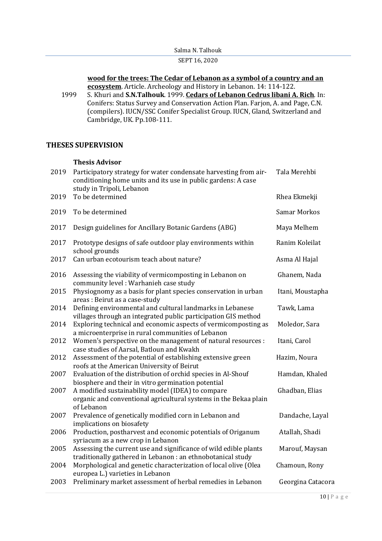| Salma N. Talhouk |  |  |
|------------------|--|--|
|                  |  |  |
|                  |  |  |
|                  |  |  |
|                  |  |  |

## **wood for the trees: The Cedar of Lebanon as a symbol of a country and an ecosystem**. Article. Archeology and History in Lebanon. 14: 114-122.

1999 S. Khuri and **S.N.Talhouk**. 1999. **Cedars of Lebanon Cedrus libani A. Rich**. In: Conifers: Status Survey and Conservation Action Plan. Farjon, A. and Page, C.N. (compilers). IUCN/SSC Conifer Specialist Group. IUCN, Gland, Switzerland and Cambridge, UK. Pp.108-111.

# **THESES SUPERVISION**

## **Thesis Advisor**

| 2019 | Participatory strategy for water condensate harvesting from air-<br>conditioning home units and its use in public gardens: A case<br>study in Tripoli, Lebanon | Tala Merehbi        |
|------|----------------------------------------------------------------------------------------------------------------------------------------------------------------|---------------------|
| 2019 | To be determined                                                                                                                                               | Rhea Ekmekji        |
| 2019 | To be determined                                                                                                                                               | <b>Samar Morkos</b> |
| 2017 | Design guidelines for Ancillary Botanic Gardens (ABG)                                                                                                          | Maya Melhem         |
| 2017 | Prototype designs of safe outdoor play environments within<br>school grounds                                                                                   | Ranim Koleilat      |
| 2017 | Can urban ecotourism teach about nature?                                                                                                                       | Asma Al Hajal       |
| 2016 | Assessing the viability of vermicomposting in Lebanon on<br>community level: Warhanieh case study                                                              | Ghanem, Nada        |
| 2015 | Physiognomy as a basis for plant species conservation in urban<br>areas : Beirut as a case-study                                                               | Itani, Moustapha    |
| 2014 | Defining environmental and cultural landmarks in Lebanese<br>villages through an integrated public participation GIS method                                    | Tawk, Lama          |
| 2014 | Exploring technical and economic aspects of vermicomposting as<br>a microenterprise in rural communities of Lebanon                                            | Moledor, Sara       |
| 2012 | Women's perspective on the management of natural resources :<br>case studies of Aarsal, Batloun and Kwakh                                                      | Itani, Carol        |
| 2012 | Assessment of the potential of establishing extensive green<br>roofs at the American University of Beirut                                                      | Hazim, Noura        |
| 2007 | Evaluation of the distribution of orchid species in Al-Shouf<br>biosphere and their in vitro germination potential                                             | Hamdan, Khaled      |
| 2007 | A modified sustainability model (IDEA) to compare<br>organic and conventional agricultural systems in the Bekaa plain<br>of Lebanon                            | Ghadban, Elias      |
| 2007 | Prevalence of genetically modified corn in Lebanon and<br>implications on biosafety                                                                            | Dandache, Layal     |
| 2006 | Production, postharvest and economic potentials of Origanum<br>syriacum as a new crop in Lebanon                                                               | Atallah, Shadi      |
| 2005 | Assessing the current use and significance of wild edible plants<br>traditionally gathered in Lebanon : an ethnobotanical study                                | Marouf, Maysan      |
| 2004 | Morphological and genetic characterization of local olive (Olea<br>europea L.) varieties in Lebanon                                                            | Chamoun, Rony       |
| 2003 | Preliminary market assessment of herbal remedies in Lebanon                                                                                                    | Georgina Catacora   |
|      |                                                                                                                                                                |                     |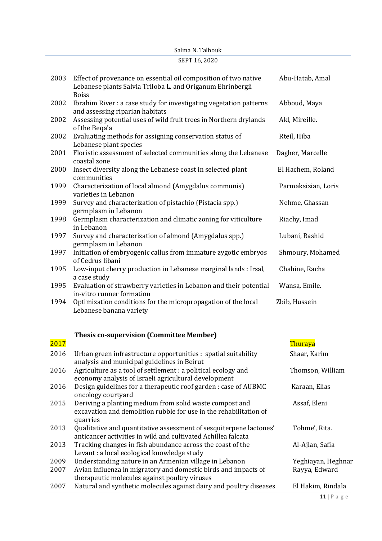|      | Salma N. Talhouk                                                                                                                              |                     |
|------|-----------------------------------------------------------------------------------------------------------------------------------------------|---------------------|
|      | SEPT 16, 2020                                                                                                                                 |                     |
| 2003 | Effect of provenance on essential oil composition of two native<br>Lebanese plants Salvia Triloba L. and Origanum Ehrinbergii<br><b>Boiss</b> | Abu-Hatab, Amal     |
| 2002 | Ibrahim River : a case study for investigating vegetation patterns<br>and assessing riparian habitats                                         | Abboud, Maya        |
| 2002 | Assessing potential uses of wild fruit trees in Northern drylands<br>of the Bega'a                                                            | Akl, Mireille.      |
| 2002 | Evaluating methods for assigning conservation status of<br>Lebanese plant species                                                             | Rteil, Hiba         |
| 2001 | Floristic assessment of selected communities along the Lebanese<br>coastal zone                                                               | Dagher, Marcelle    |
| 2000 | Insect diversity along the Lebanese coast in selected plant<br>communities                                                                    | El Hachem, Roland   |
| 1999 | Characterization of local almond (Amygdalus communis)<br>varieties in Lebanon                                                                 | Parmaksizian, Loris |
| 1999 | Survey and characterization of pistachio (Pistacia spp.)<br>germplasm in Lebanon                                                              | Nehme, Ghassan      |
| 1998 | Germplasm characterization and climatic zoning for viticulture<br>in Lebanon                                                                  | Riachy, Imad        |
| 1997 | Survey and characterization of almond (Amygdalus spp.)<br>germplasm in Lebanon                                                                | Lubani, Rashid      |
| 1997 | Initiation of embryogenic callus from immature zygotic embryos<br>of Cedrus libani                                                            | Shmoury, Mohamed    |
| 1995 | Low-input cherry production in Lebanese marginal lands : Irsal,<br>a case study                                                               | Chahine, Racha      |
| 1995 | Evaluation of strawberry varieties in Lebanon and their potential<br>in-vitro runner formation                                                | Wansa, Emile.       |
| 1994 | Optimization conditions for the micropropagation of the local<br>Lebanese banana variety                                                      | Zbib, Hussein       |

# **Thesis co-supervision (Committee Member)**

| 2017 |                                                                                                                                          | Thuraya            |
|------|------------------------------------------------------------------------------------------------------------------------------------------|--------------------|
| 2016 | Urban green infrastructure opportunities : spatial suitability<br>analysis and municipal guidelines in Beirut                            | Shaar, Karim       |
| 2016 | Agriculture as a tool of settlement : a political ecology and<br>economy analysis of Israeli agricultural development                    | Thomson, William   |
| 2016 | Design guidelines for a therapeutic roof garden: case of AUBMC<br>oncology courtyard                                                     | Karaan, Elias      |
| 2015 | Deriving a planting medium from solid waste compost and<br>excavation and demolition rubble for use in the rehabilitation of<br>quarries | Assaf, Eleni       |
| 2013 | Qualitative and quantitative assessment of sesquiterpene lactones'<br>anticancer activities in wild and cultivated Achillea falcata      | Tohme', Rita.      |
| 2013 | Tracking changes in fish abundance across the coast of the<br>Levant : a local ecological knowledge study                                | Al-Ajlan, Safia    |
| 2009 | Understanding nature in an Armenian village in Lebanon                                                                                   | Yeghiayan, Heghnar |
| 2007 | Avian influenza in migratory and domestic birds and impacts of<br>therapeutic molecules against poultry viruses                          | Rayya, Edward      |
| 2007 | Natural and synthetic molecules against dairy and poultry diseases                                                                       | El Hakim, Rindala  |

11 | P a g e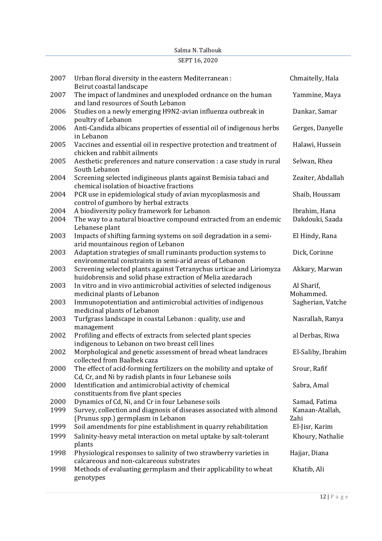|      | SEPT 16, 2020                                                                                                                     |                         |
|------|-----------------------------------------------------------------------------------------------------------------------------------|-------------------------|
| 2007 | Urban floral diversity in the eastern Mediterranean :<br>Beirut coastal landscape                                                 | Chmaitelly, Hala        |
| 2007 | The impact of landmines and unexploded ordnance on the human<br>and land resources of South Lebanon                               | Yammine, Maya           |
| 2006 | Studies on a newly emerging H9N2-avian influenza outbreak in<br>poultry of Lebanon                                                | Dankar, Samar           |
| 2006 | Anti-Candida albicans properties of essential oil of indigenous herbs<br>in Lebanon                                               | Gerges, Danyelle        |
| 2005 | Vaccines and essential oil in respective protection and treatment of<br>chicken and rabbit ailments                               | Halawi, Hussein         |
| 2005 | Aesthetic preferences and nature conservation : a case study in rural<br>South Lebanon                                            | Selwan, Rhea            |
| 2004 | Screening selected indigineous plants against Bemisia tabaci and<br>chemical isolation of bioactive fractions                     | Zeaiter, Abdallah       |
| 2004 | PCR use in epidemiological study of avian mycoplasmosis and<br>control of gumboro by herbal extracts                              | Shaib, Houssam          |
| 2004 | A biodiversity policy framework for Lebanon                                                                                       | Ibrahim, Hana           |
| 2004 | The way to a natural bioactive compound extracted from an endemic<br>Lebanese plant                                               | Dakdouki, Saada         |
| 2003 | Impacts of shifting farming systems on soil degradation in a semi-<br>arid mountainous region of Lebanon                          | El Hindy, Rana          |
| 2003 | Adaptation strategies of small ruminants production systems to<br>environmental constraints in semi-arid areas of Lebanon         | Dick, Corinne           |
| 2003 | Screening selected plants against Tetranychus urticae and Liriomyza<br>huidobrensis and solid phase extraction of Melia azedarach | Akkary, Marwan          |
| 2003 | In vitro and in vivo antimicrobial activities of selected indigenous<br>medicinal plants of Lebanon                               | Al Sharif,<br>Mohammed. |
| 2003 | Immunopotentiation and antimicrobial activities of indigenous<br>medicinal plants of Lebanon                                      | Sagherian, Vatche       |
| 2003 | Turfgrass landscape in coastal Lebanon : quality, use and<br>management                                                           | Nasrallah, Ranya        |
| 2002 | Profiling and effects of extracts from selected plant species<br>indigenous to Lebanon on two breast cell lines                   | al Derbas, Riwa         |
| 2002 | Morphological and genetic assessment of bread wheat landraces<br>collected from Baalbek caza                                      | El-Saliby, Ibrahim      |
| 2000 | The effect of acid-forming fertilizers on the mobility and uptake of<br>Cd, Cr, and Ni by radish plants in four Lebanese soils    | Srour, Rafif            |
| 2000 | Identification and antimicrobial activity of chemical<br>constituents from five plant species                                     | Sabra, Amal             |
| 2000 | Dynamics of Cd, Ni, and Cr in four Lebanese soils                                                                                 | Samad, Fatima           |
| 1999 | Survey, collection and diagnosis of diseases associated with almond<br>(Prunus spp.) germplasm in Lebanon                         | Kanaan-Atallah,<br>Zahi |
| 1999 | Soil amendments for pine establishment in quarry rehabilitation                                                                   | El-Jisr, Karim          |
| 1999 | Salinity-heavy metal interaction on metal uptake by salt-tolerant<br>plants                                                       | Khoury, Nathalie        |
| 1998 | Physiological responses to salinity of two strawberry varieties in<br>calcareous and non-calcareous substrates                    | Hajjar, Diana           |
| 1998 | Methods of evaluating germplasm and their applicability to wheat<br>genotypes                                                     | Khatib, Ali             |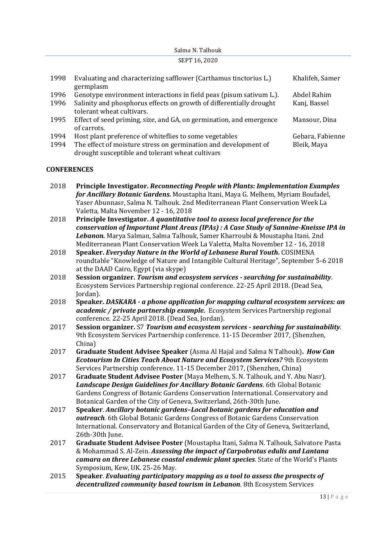## Salma N. Talhouk SEPT 16, 2020 1998 Evaluating and characterizing safflower (Carthamus tinctorius L.) germplasm Khalifeh, Samer 1996 Genotype environment interactions in field peas (pisum sativum L.). Abdel Rahim

- 
- 1996 Salinity and phosphorus effects on growth of differentially drought tolerant wheat cultivars. Kanj, Bassel 1995 Effect of seed priming, size, and GA, on germination, and emergence
- of carrots. Mansour, Dina 1994 Host plant preference of whiteflies to some vegetables Gebara, Fabienne
- 1994 The effect of moisture stress on germination and development of drought susceptible and tolerant wheat cultivars Bleik, Maya

# **CONFERENCES**

- 2018 **Principle Investigator.** *Reconnecting People with Plants: Implementation Examples for Ancillary Botanic Gardens.* Moustapha Itani, Maya G. Melhem, Myriam Boufadel, Yaser Abunnasr, Salma N. Talhouk. 2nd Mediterranean Plant Conservation Week La Valetta, Malta November 12 - 16, 2018
- 2018 **Principle Investigator.** *A quantitative tool to assess local preference for the conservation of Important Plant Areas (IPAs) : A Case Study of Sannine-Kneisse IPA in Lebanon.* Marya Salman, Salma Talhouk, Samer Kharroubi & Moustapha Itani. 2nd Mediterranean Plant Conservation Week La Valetta, Malta November 12 - 16, 2018
- 2018 **Speaker.** *Everyday Nature in the World of Lebanese Rural Youth***.** COSIMENA roundtable "Knowledge of Nature and Intangible Cultural Heritage", September 5-6 2018 at the DAAD Cairo, Egypt (via skype)
- 2018 **Session organizer.** *Tourism and ecosystem services - searching for sustainability*. Ecosystem Services Partnership regional conference. 22-25 April 2018. (Dead Sea, Jordan).
- 2018 **Speaker.** *DASKARA - a phone application for mapping cultural ecosystem services: an academic / private partnership example.* Ecosystem Services Partnership regional conference. 22-25 April 2018. (Dead Sea, Jordan).
- 2017 **Session organizer.** S7 *Tourism and ecosystem services - searching for sustainability*. 9th Ecosystem Services Partnership conference. 11-15 December 2017, (Shenzhen, China)
- 2017 **Graduate Student Advisee Speaker** (Asma Al Hajal and Salma N Talhouk)**.** *How Can Ecotourism In Cities Teach About Nature and Ecosystem Services?* 9th Ecosystem Services Partnership conference. 11-15 December 2017, (Shenzhen, China)
- 2017 **Graduate Student Advisee Poster** (Maya Melhem, S. N. Talhouk, and Y. Abu Nasr). *Landscape Design Guidelines for Ancillary Botanic Gardens*. 6th Global Botanic Gardens Congress of Botanic Gardens Conservation International. Conservatory and Botanical Garden of the City of Geneva, Switzerland, 26th-30th June.
- 2017 **Speaker**. *Ancillary botanic gardens–Local botanic gardens for education and outreach.* 6th Global Botanic Gardens Congress of Botanic Gardens Conservation International. Conservatory and Botanical Garden of the City of Geneva, Switzerland, 26th-30th June.
- 2017 **Graduate Student Advisee Poster** (Moustapha Itani, Salma N. Talhouk, Salvatore Pasta & Mohammad S. Al-Zein. *Assessing the impact of Carpobrotus edulis and Lantana camara on three Lebanese coastal endemic plant species*. State of the World's Plants Symposium, Kew, UK. 25-26 May.
- 2015 **Speaker**. *Evaluating participatory mapping as a tool to assess the prospects of decentralized community based tourism in Lebanon*. 8th Ecosystem Services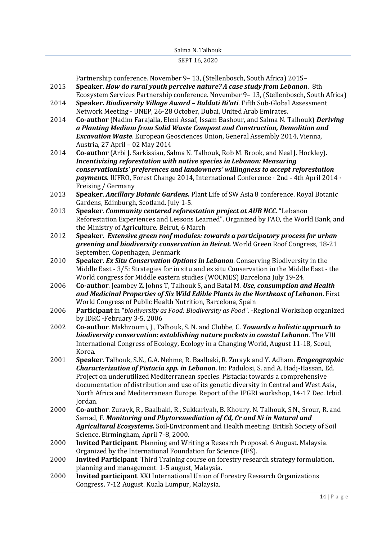#### SEPT 16, 2020

Partnership conference. November 9– 13, (Stellenbosch, South Africa) 2015–

- 2015 **Speaker**. *How do rural youth perceive nature? A case study from Lebanon*. 8th Ecosystem Services Partnership conference. November 9– 13, (Stellenbosch, South Africa)
- 2014 **Speaker.** *Biodiversity Village Award – Baldati Bi'ati*. Fifth Sub-Global Assessment Network Meeting - UNEP, 26-28 October, Dubai, United Arab Emirates.
- 2014 **Co-author** (Nadim Farajalla, Eleni Assaf, Issam Bashour, and Salma N. Talhouk) *Deriving a Planting Medium from Solid Waste Compost and Construction, Demolition and Excavation Waste*. European Geosciences Union, General Assembly 2014, Vienna, Austria, 27 April – 02 May 2014
- 2014 **Co-author** (Arbi J. Sarkissian, Salma N. Talhouk, Rob M. Brook, and Neal J. Hockley). *Incentivizing reforestation with native species in Lebanon: Measuring conservationists' preferences and landowners' willingness to accept reforestation payments*. IUFRO, Forest Change 2014, International Conference · 2nd - 4th April 2014 · Freising / Germany
- 2013 **Speaker**. *Ancillary Botanic Gardens.* Plant Life of SW Asia 8 conference. Royal Botanic Gardens, Edinburgh, Scotland. July 1-5.
- 2013 **Speaker**. *Community centered reforestation project at AUB NCC*. "Lebanon Reforestation Experiences and Lessons Learned". Organized by FAO, the World Bank, and the Ministry of Agriculture. Beirut, 6 March
- 2012 **Speaker.** *Extensive green roof modules: towards a participatory process for urban greening and biodiversity conservation in Beirut*. World Green Roof Congress, 18-21 September, Copenhagen, Denmark
- 2010 **Speaker.** *Ex Situ Conservation Options in Lebanon*. Conserving Biodiversity in the Middle East - 3/5: Strategies for in situ and ex situ Conservation in the Middle East - the World congress for Middle eastern studies (WOCMES) Barcelona July 19-24.
- 2006 **Co-author**. Jeambey Z, Johns T, Talhouk S, and Batal M. *Use, consumption and Health and Medicinal Properties of Six Wild Edible Plants in the Northeast of Lebanon*. First World Congress of Public Health Nutrition, Barcelona, Spain
- 2006 **Participant** in "*biodiversity as Food: Biodiversity as Food*". -Regional Workshop organized by IDRC -February 3-5, 2006
- 2002 **Co-author**. Makhzoumi, J., Talhouk, S. N. and Clubbe, C. *Towards a holistic approach to biodiversity conservation: establishing nature pockets in coastal Lebanon*. The VIII International Congress of Ecology, Ecology in a Changing World, August 11-18, Seoul, Korea.
- 2001 **Speaker**. Talhouk, S.N., G.A. Nehme, R. Baalbaki, R. Zurayk and Y. Adham. *Ecogeographic Characterization of Pistacia spp. in Lebanon*. In: Padulosi, S. and A. Hadj-Hassan, Ed. Project on underutilized Mediterranean species. Pistacia: towards a comprehensive documentation of distribution and use of its genetic diversity in Central and West Asia, North Africa and Mediterranean Europe. Report of the IPGRI workshop, 14-17 Dec. Irbid. Jordan.
- 2000 **Co-author**. Zurayk, R., Baalbaki, R., Sukkariyah, B. Khoury, N. Talhouk, S.N., Srour, R. and Samad, F. *Monitoring and Phytoremediation of Cd, Cr and Ni in Natural and Agricultural Ecosystems.* Soil-Environment and Health meeting. British Society of Soil Science. Birmingham, April 7-8, 2000.
- 2000 **Invited Participant**. Planning and Writing a Research Proposal. 6 August. Malaysia. Organized by the International Foundation for Science (IFS).
- 2000 **Invited Participant**. Third Training course on forestry research strategy formulation, planning and management. 1-5 august, Malaysia.
- 2000 **Invited participant**. XXI International Union of Forestry Research Organizations Congress. 7-12 August. Kuala Lumpur, Malaysia.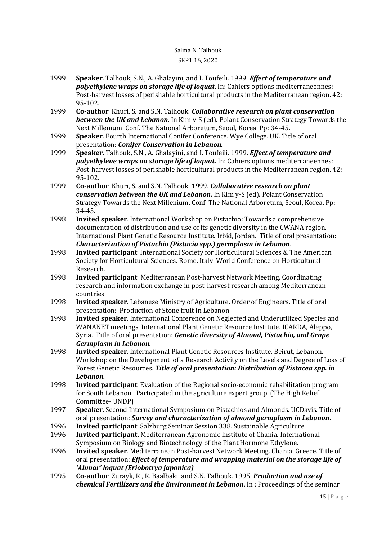#### SEPT 16, 2020

- 1999 **Speaker**. Talhouk, S.N., A. Ghalayini, and I. Toufeili. 1999. *Effect of temperature and polyethylene wraps on storage life of loquat*. In: Cahiers options mediterraneennes: Post-harvest losses of perishable horticultural products in the Mediterranean region. 42: 95-102.
- 1999 **Co-author**. Khuri, S. and S.N. Talhouk. *Collaborative research on plant conservation between the UK and Lebanon*. In Kim y-S (ed). Polant Conservation Strategy Towards the Next Millenium. Conf. The National Arboretum, Seoul, Korea. Pp: 34-45.
- 1999 **Speaker**. Fourth International Conifer Conference. Wye College. UK. Title of oral presentation: *Conifer Conservation in Lebanon.*
- 1999 **Speaker.** Talhouk, S.N., A. Ghalayini, and I. Toufeili. 1999. *Effect of temperature and polyethylene wraps on storage life of loquat.* In: Cahiers options mediterraneennes: Post-harvest losses of perishable horticultural products in the Mediterranean region. 42: 95-102.
- 1999 **Co-author**. Khuri, S. and S.N. Talhouk. 1999. *Collaborative research on plant conservation between the UK and Lebanon*. In Kim y-S (ed). Polant Conservation Strategy Towards the Next Millenium. Conf. The National Arboretum, Seoul, Korea. Pp: 34-45.
- 1998 **Invited speaker**. International Workshop on Pistachio: Towards a comprehensive documentation of distribution and use of its genetic diversity in the CWANA region. International Plant Genetic Resource Institute. Irbid, Jordan. Title of oral presentation: *Characterization of Pistachio (Pistacia spp.) germplasm in Lebanon*.
- 1998 **Invited participant**. International Society for Horticultural Sciences & The American Society for Horticultural Sciences. Rome. Italy. World Conference on Horticultural Research.
- 1998 **Invited participant**. Mediterranean Post-harvest Network Meeting. Coordinating research and information exchange in post-harvest research among Mediterranean countries.
- 1998 **Invited speaker**. Lebanese Ministry of Agriculture. Order of Engineers. Title of oral presentation: Production of Stone fruit in Lebanon.
- 1998 **Invited speaker**. International Conference on Neglected and Underutilized Species and WANANET meetings. International Plant Genetic Resource Institute. ICARDA, Aleppo, Syria. Title of oral presentation: *Genetic diversity of Almond, Pistachio, and Grape Germplasm in Lebanon.*
- 1998 **Invited speaker**. International Plant Genetic Resources Institute. Beirut, Lebanon. Workshop on the Development of a Research Activity on the Levels and Degree of Loss of Forest Genetic Resources. *Title of oral presentation: Distribution of Pistacea spp. in Lebanon.*
- 1998 **Invited participant**. Evaluation of the Regional socio-economic rehabilitation program for South Lebanon. Participated in the agriculture expert group. (The High Relief Committee- UNDP)
- 1997 **Speaker**. Second International Symposium on Pistachios and Almonds. UCDavis. Title of oral presentation: *Survey and characterization of almond germplasm in Lebanon*.
- 1996 **Invited participant**. Salzburg Seminar Session 338. Sustainable Agriculture.
- 1996 **Invited participant.** Mediterranean Agronomic Institute of Chania. International Symposium on Biology and Biotechnology of the Plant Hormone Ethylene.
- 1996 **Invited speaker**. Mediterranean Post-harvest Network Meeting. Chania, Greece. Title of oral presentation: *Effect of temperature and wrapping material on the storage life of 'Ahmar' loquat (Eriobotrya japonica)*
- 1995 **Co-author**. Zurayk, R., R. Baalbaki, and S.N. Talhouk. 1995. *Production and use of chemical Fertilizers and the Environment in Lebanon*. In : Proceedings of the seminar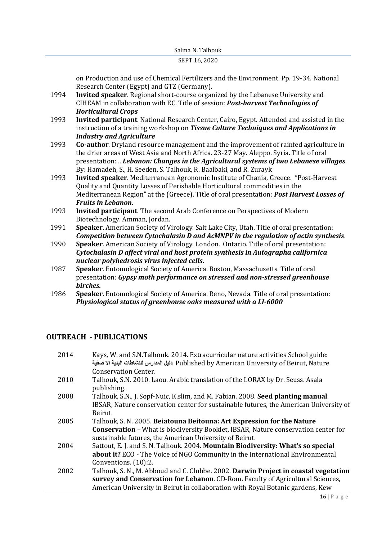on Production and use of Chemical Fertilizers and the Environment. Pp. 19-34. National Research Center (Egypt) and GTZ (Germany).

- 1994 **Invited speaker**. Regional short-course organized by the Lebanese University and CIHEAM in collaboration with EC. Title of session: *Post-harvest Technologies of Horticultural Crops*
- 1993 **Invited participant**. National Research Center, Cairo, Egypt. Attended and assisted in the instruction of a training workshop on *Tissue Culture Techniques and Applications in Industry and Agriculture*
- 1993 **Co-author**. Dryland resource management and the improvement of rainfed agriculture in the drier areas of West Asia and North Africa. 23-27 May. Aleppo. Syria. Title of oral presentation: .. *Lebanon: Changes in the Agricultural systems of two Lebanese villages*. By: Hamadeh, S., H. Seeden, S. Talhouk, R. Baalbaki, and R. Zurayk
- 1993 **Invited speaker**. Mediterranean Agronomic Institute of Chania, Greece. "Post-Harvest Quality and Quantity Losses of Perishable Horticultural commodities in the Mediterranean Region" at the (Greece). Title of oral presentation: *Post Harvest Losses of Fruits in Lebanon*.
- 1993 **Invited participant**. The second Arab Conference on Perspectives of Modern Biotechnology. Amman, Jordan.
- 1991 **Speaker**. American Society of Virology. Salt Lake City, Utah. Title of oral presentation: *Competition between Cytochalasin D and AcMNPV in the regulation of actin synthesis*.
- 1990 **Speaker**. American Society of Virology. London. Ontario. Title of oral presentation: *Cytochalasin D affect viral and host protein synthesis in Autographa californica nuclear polyhedrosis virus infected cells*.
- 1987 **Speaker**. Entomological Society of America. Boston, Massachusetts. Title of oral presentation: *Gypsy moth performance on stressed and non-stressed greenhouse birches.*
- 1986 **Speaker**. Entomological Society of America. Reno, Nevada. Title of oral presentation: *Physiological status of greenhouse oaks measured with a LI-6000*

## **OUTREACH - PUBLICATIONS**

2014 Kays, W. and S.N.Talhouk. 2014. Extracurricular nature activities School guide: **صفية اال البئية للنشاطات المدارس دليل**. Published by American University of Beirut, Nature Conservation Center. 2010 Talhouk, S.N. 2010. Laou. Arabic translation of the LORAX by Dr. Seuss. Asala publishing. 2008 Talhouk, S.N., J. Sopf-Nuic, K.slim, and M. Fabian. 2008. **Seed planting manual**. IBSAR, Nature conservation center for sustainable futures, the American University of Beirut. 2005 Talhouk, S. N. 2005. **Beiatouna Beitouna: Art Expression for the Nature Conservation** – What is biodiversity Booklet, IBSAR, Nature conservation center for sustainable futures, the American University of Beirut. 2004 Sattout, E. J. and S. N. Talhouk. 2004. **Mountain Biodiversity: What's so special about it?** ECO - The Voice of NGO Community in the International Environmental Conventions. (10):2. 2002 Talhouk, S. N., M. Abboud and C. Clubbe. 2002. **Darwin Project in coastal vegetation survey and Conservation for Lebanon**. CD-Rom. Faculty of Agricultural Sciences, American University in Beirut in collaboration with Royal Botanic gardens, Kew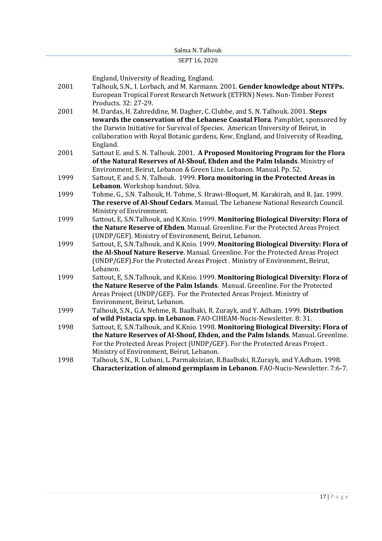#### SEPT 16, 2020

England, University of Reading, England.

- 2001 Talhouk, S.N., I. Lorbach, and M. Karmann. 2001. **Gender knowledge about NTFPs.** European Tropical Forest Research Network (ETFRN) News. Non-Timber Forest Products. 32: 27-29.
- 2001 M. Dardas, H. Zahreddine, M. Dagher, C. Clubbe, and S. N. Talhouk. 2001. **Steps towards the conservation of the Lebanese Coastal Flora**. Pamphlet, sponsored by the Darwin Initiative for Survival of Species. American University of Beirut, in collaboration with Royal Botanic gardens, Kew, England, and University of Reading, England.
- 2001 Sattout E. and S. N. Talhouk. 2001. **A Proposed Monitoring Program for the Flora of the Natural Reserves of Al-Shouf, Ehden and the Palm Islands**. Ministry of Environment, Beirut, Lebanon & Green Line. Lebanon. Manual. Pp. 52.
- 1999 Sattout, E and S. N. Talhouk. 1999. **Flora monitoring in the Protected Areas in Lebanon**. Workshop handout. Silva.
- 1999 Tohme, G., S.N. Talhouk, H. Tohme, S. Hrawi-Bloquet, M. Karakirah, and R. Jaz. 1999. **The reserve of Al-Shouf Cedars**. Manual. The Lebanese National Research Council. Ministry of Environment.
- 1999 Sattout, E, S.N.Talhouk, and K.Knio. 1999. **Monitoring Biological Diversity: Flora of the Nature Reserve of Ehden**. Manual. Greenline. For the Protected Areas Project (UNDP/GEF). Ministry of Environment, Beirut, Lebanon.
- 1999 Sattout, E, S.N.Talhouk, and K.Knio. 1999. **Monitoring Biological Diversity: Flora of the Al-Shouf Nature Reserve**. Manual. Greenline. For the Protected Areas Project (UNDP/GEF).For the Protected Areas Project . Ministry of Environment, Beirut, Lebanon.
- 1999 Sattout, E, S.N.Talhouk, and K.Knio. 1999. **Monitoring Biological Diversity: Flora of the Nature Reserve of the Palm Islands**. Manual. Greenline. For the Protected Areas Project (UNDP/GEF). For the Protected Areas Project. Ministry of Environment, Beirut, Lebanon.
- 1999 Talhouk, S.N., G.A. Nehme, R. Baalbaki, R. Zurayk, and Y. Adham. 1999. **Distribution of wild Pistacia spp. in Lebanon**. FAO-CIHEAM-Nucis-Newsletter. 8: 31.
- 1998 Sattout, E, S.N.Talhouk, and K.Knio. 1998. **Monitoring Biological Diversity: Flora of the Nature Reserves of Al-Shouf, Ehden, and the Palm Islands**. Manual. Greenline. For the Protected Areas Project (UNDP/GEF). For the Protected Areas Project . Ministry of Environment, Beirut, Lebanon.
- 1998 Talhouk, S.N., R. Lubani, L. Parmaksizian, R.Baalbaki, R.Zurayk, and Y.Adham. 1998. **Characterization of almond germplasm in Lebanon**. FAO-Nucis-Newsletter. 7:6-7.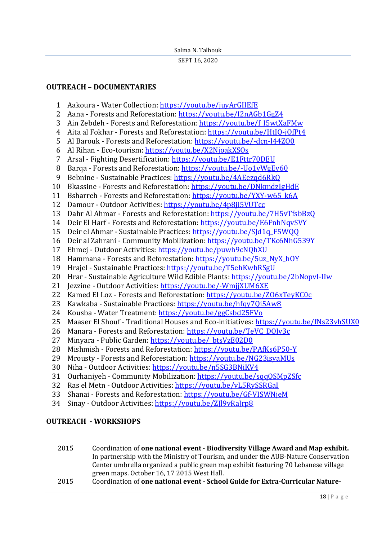# **OUTREACH – DOCUMENTARIES**

- Aakoura Water Collection:<https://youtu.be/juyArGIIEfE>
- 2 Aana Forests and Reforestation:<https://youtu.be/I2nAGb1GgZ4>
- Ain Zebdeh Forests and Reforestation: [https://youtu.be/f\\_I5wtXaFMw](https://youtu.be/f_I5wtXaFMw)
- 4 Aita al Fokhar Forests and Reforestation:<https://youtu.be/HtIQ-jOfPt4>
- Al Barouk Forests and Reforestation:<https://youtu.be/-dcn-l44ZO0>
- Al Rihan Eco-tourism:<https://youtu.be/X2NjoakXSOs>
- Arsal Fighting Desertification:<https://youtu.be/E1Fttr70DEU>
- 8 Barqa Forests and Reforestation: https://voutu.be/-Uo1yWgEy60
- 9 Bebnine Sustainable Practices:<https://youtu.be/4AEezqd6RkQ>
- Bkassine Forests and Reforestation:<https://youtu.be/DNkmdzIgHdE>
- 11 Bsharreh Forests and Reforestation: [https://youtu.be/YXY-w65\\_k6A](https://youtu.be/YXY-w65_k6A)
- Damour Outdoor Activities:<https://youtu.be/4p8ji5VUTcc>
- Dahr Al Ahmar Forests and Reforestation:<https://youtu.be/7H5vTfsbBzQ>
- Deir El Harf Forests and Reforestation:<https://youtu.be/E6FnhNqvSVY>
- Deir el Ahmar Sustainable Practices: [https://youtu.be/SJd1q\\_F5WQQ](https://youtu.be/SJd1q_F5WQQ)
- Deir al Zahrani Community Mobilization[: https://youtu.be/TKc6NhG539Y](https://youtu.be/TKc6NhG539Y)
- Ehmej Outdoor Activities:<https://youtu.be/puwh9cNQhXU>
- Hammana Forests and Reforestation: [https://youtu.be/5uz\\_NyX\\_hOY](https://youtu.be/5uz_NyX_hOY)
- Hrajel Sustainable Practices:<https://youtu.be/T5ehKwhRSgU>
- Hrar Sustainable Agriculture Wild Edible Plants:<https://youtu.be/2bNopvl-IIw>
- Jezzine Outdoor Activities:<https://youtu.be/-WmjjXUM6XE>
- Kamed El Loz Forests and Reforestation:<https://youtu.be/ZO6xTeyKC0c>
- Kawkaba Sustainable Practices:<https://youtu.be/hfqy7Qi5Aw8>
- Kousba Water Treatment:<https://youtu.be/ggCsbd25FVo>
- Maaser El Shouf Traditional Houses and Eco-initiatives:<https://youtu.be/fNs23vhSUX0>
- Manara Forests and Reforestation: [https://youtu.be/TeVC\\_DQIv3c](https://youtu.be/TeVC_DQIv3c)
- 27 Minyara Public Garden: https://youtu.be/ btsVzE02D0
- Mishmish Forests and Reforestation:<https://youtu.be/PAfKs6P50-Y>
- Mrousty Forests and Reforestation:<https://youtu.be/NG23isyaMUs>
- Niha Outdoor Activities:<https://youtu.be/n5SG3BNiKV4>
- Ourhaniyeh Community Mobilization:<https://youtu.be/sqqQSMpZSfc>
- Ras el Metn Outdoor Activities:<https://youtu.be/vL5RySSRGaI>
- Shanai Forests and Reforestation:<https://youtu.be/Gf-VISWNjeM>
- Sinay Outdoor Activities[: https://youtu.be/ZJl9vRaJrp8](https://youtu.be/ZJl9vRaJrp8)

# **OUTREACH - WORKSHOPS**

- 2015 Coordination of **one national event Biodiversity Village Award and Map exhibit.**  In partnership with the Ministry of Tourism, and under the AUB-Nature Conservation Center umbrella organized a public green map exhibit featuring 70 Lebanese village green maps. October 16, 17 2015 West Hall.
- 2015 Coordination of **one national event - School Guide for Extra-Curricular Nature-**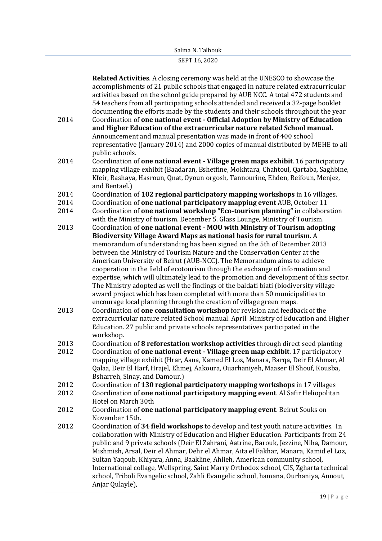|      | Related Activities. A closing ceremony was held at the UNESCO to showcase the          |
|------|----------------------------------------------------------------------------------------|
|      | accomplishments of 21 public schools that engaged in nature related extracurricular    |
|      | activities based on the school guide prepared by AUB NCC. A total 472 students and     |
|      | 54 teachers from all participating schools attended and received a 32-page booklet     |
|      | documenting the efforts made by the students and their schools throughout the year     |
| 2014 |                                                                                        |
|      | Coordination of one national event - Official Adoption by Ministry of Education        |
|      | and Higher Education of the extracurricular nature related School manual.              |
|      | Announcement and manual presentation was made in front of 400 school                   |
|      | representative (January 2014) and 2000 copies of manual distributed by MEHE to all     |
|      | public schools.                                                                        |
| 2014 | Coordination of one national event - Village green maps exhibit. 16 participatory      |
|      | mapping village exhibit (Baadaran, Bshetfine, Mokhtara, Chahtoul, Qartaba, Saghbine,   |
|      | Kfeir, Rashaya, Hasroun, Qnat, Oyoun orgosh, Tannourine, Ehden, Reifoun, Menjez,       |
|      | and Bentael.)                                                                          |
| 2014 | Coordination of 102 regional participatory mapping workshops in 16 villages.           |
|      |                                                                                        |
| 2014 | Coordination of one national participatory mapping event AUB, October 11               |
| 2014 | Coordination of one national workshop "Eco-tourism planning" in collaboration          |
|      | with the Ministry of tourism. December 5. Glass Lounge, Ministry of Tourism.           |
| 2013 | Coordination of one national event - MOU with Ministry of Tourism adopting             |
|      | Biodiversity Village Award Maps as national basis for rural tourism. A                 |
|      | memorandum of understanding has been signed on the 5th of December 2013                |
|      | between the Ministry of Tourism Nature and the Conservation Center at the              |
|      | American University of Beirut (AUB-NCC). The Memorandum aims to achieve                |
|      | cooperation in the field of ecotourism through the exchange of information and         |
|      | expertise, which will ultimately lead to the promotion and development of this sector. |
|      | The Ministry adopted as well the findings of the baldati biati (biodiversity village   |
|      | award project which has been completed with more than 50 municipalities to             |
|      |                                                                                        |
|      | encourage local planning through the creation of village green maps.                   |
| 2013 | Coordination of one consultation workshop for revision and feedback of the             |
|      | extracurricular nature related School manual. April. Ministry of Education and Higher  |
|      | Education. 27 public and private schools representatives participated in the           |
|      | workshop.                                                                              |
| 2013 | Coordination of 8 reforestation workshop activities through direct seed planting       |
| 2012 | Coordination of one national event - Village green map exhibit. 17 participatory       |
|      | mapping village exhibit (Hrar, Aana, Kamed El Loz, Manara, Barqa, Deir El Ahmar, Al    |
|      | Qalaa, Deir El Harf, Hrajel, Ehmej, Aakoura, Ouarhaniyeh, Maaser El Shouf, Kousba,     |
|      | Bsharreh, Sinay, and Damour.)                                                          |
| 2012 | Coordination of 130 regional participatory mapping workshops in 17 villages            |
| 2012 | Coordination of one national participatory mapping event. Al Safir Heliopolitan        |
|      | Hotel on March 30th                                                                    |
|      |                                                                                        |
| 2012 | Coordination of one national participatory mapping event. Beirut Souks on              |
|      | November 15th.                                                                         |
| 2012 | Coordination of 34 field workshops to develop and test youth nature activities. In     |
|      | collaboration with Ministry of Education and Higher Education. Participants from 24    |
|      | public and 9 private schools (Deir El Zahrani, Aatrine, Barouk, Jezzine, Niha, Damour, |
|      | Mishmish, Arsal, Deir el Ahmar, Dehr el Ahmar, Aita el Fakhar, Manara, Kamid el Loz,   |
|      | Sultan Yaqoub, Khiyara, Anna, Baakline, Ahlieh, American community school,             |
|      | International collage, Wellspring, Saint Marry Orthodox school, CIS, Zgharta technical |
|      | school, Triboli Evangelic school, Zahli Evangelic school, hamana, Ourhaniya, Annout,   |
|      | Anjar Qulayle),                                                                        |
|      |                                                                                        |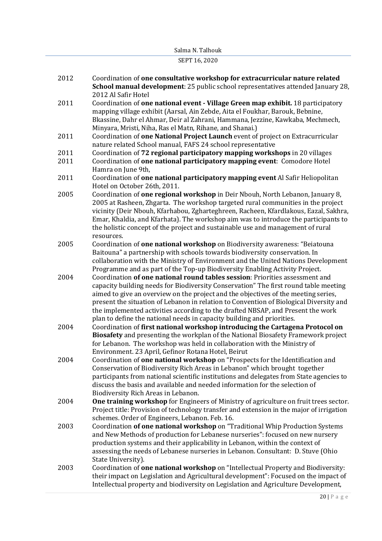#### SEPT 16, 2020

- 2012 Coordination of **one consultative workshop for extracurricular nature related School manual development**: 25 public school representatives attended January 28, 2012 Al Safir Hotel
- 2011 Coordination of **one national event - Village Green map exhibit.** 18 participatory mapping village exhibit (Aarsal, Ain Zebde, Aita el Foukhar, Barouk, Bebnine, Bkassine, Dahr el Ahmar, Deir al Zahrani, Hammana, Jezzine, Kawkaba, Mechmech, Minyara, Mristi, Niha, Ras el Matn, Rihane, and Shanai.)
- 2011 Coordination of **one National Project Launch** event of project on Extracurricular nature related School manual, FAFS 24 school representative
- 2011 Coordination of **72 regional participatory mapping workshops** in 20 villages
- 2011 Coordination of **one national participatory mapping event**: Comodore Hotel Hamra on June 9th,
- 2011 Coordination of **one national participatory mapping event** Al Safir Heliopolitan Hotel on October 26th, 2011.
- 2005 Coordination of **one regional workshop** in Deir Nbouh, North Lebanon, January 8, 2005 at Rasheen, Zhgarta. The workshop targeted rural communities in the project vicinity (Deir Nbouh, Kfarhabou, Zgharteghreen, Racheen, Kfardlakous, Eazal, Sakhra, Emar, Khaldia, and Kfarhata). The workshop aim was to introduce the participants to the holistic concept of the project and sustainable use and management of rural resources.
- 2005 Coordination of **one national workshop** on Biodiversity awareness: "Beiatouna Baitouna" a partnership with schools towards biodiversity conservation. In collaboration with the Ministry of Environment and the United Nations Development Programme and as part of the Top-up Biodiversity Enabling Activity Project.
- 2004 Coordination **of one national round tables session**: Priorities assessment and capacity building needs for Biodiversity Conservation" The first round table meeting aimed to give an overview on the project and the objectives of the meeting series, present the situation of Lebanon in relation to Convention of Biological Diversity and the implemented activities according to the drafted NBSAP, and Present the work plan to define the national needs in capacity building and priorities.
- 2004 Coordination of **first national workshop introducing the Cartagena Protocol on Biosafety** and presenting the workplan of the National Biosafety Framework project for Lebanon. The workshop was held in collaboration with the Ministry of Environment. 23 April, Gefinor Rotana Hotel, Beirut
- 2004 Coordination of **one national workshop** on "Prospects for the Identification and Conservation of Biodiversity Rich Areas in Lebanon" which brought together participants from national scientific institutions and delegates from State agencies to discuss the basis and available and needed information for the selection of Biodiversity Rich Areas in Lebanon.
- 2004 **One training workshop** for Engineers of Ministry of agriculture on fruit trees sector. Project title: Provision of technology transfer and extension in the major of irrigation schemes. Order of Engineers, Lebanon. Feb. 16.
- 2003 Coordination **of one national workshop** on "Traditional Whip Production Systems and New Methods of production for Lebanese nurseries": focused on new nursery production systems and their applicability in Lebanon, within the context of assessing the needs of Lebanese nurseries in Lebanon. Consultant: D. Stuve (Ohio State University).
- 2003 Coordination of **one national workshop** on "Intellectual Property and Biodiversity: their impact on Legislation and Agricultural development": Focused on the impact of Intellectual property and biodiversity on Legislation and Agriculture Development,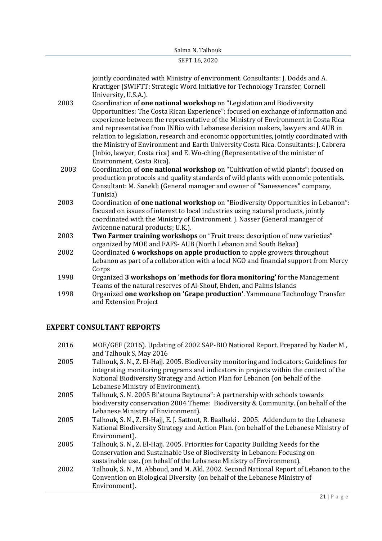jointly coordinated with Ministry of environment. Consultants: J. Dodds and A. Krattiger (SWIFTT: Strategic Word Initiative for Technology Transfer, Cornell University, U.S.A.).

- 2003 Coordination of **one national workshop** on "Legislation and Biodiversity Opportunities: The Costa Rican Experience": focused on exchange of information and experience between the representative of the Ministry of Environment in Costa Rica and representative from INBio with Lebanese decision makers, lawyers and AUB in relation to legislation, research and economic opportunities, jointly coordinated with the Ministry of Environment and Earth University Costa Rica. Consultants: J. Cabrera (Inbio, lawyer, Costa rica) and E. Wo-ching (Representative of the minister of Environment, Costa Rica).
- 2003 Coordination of **one national workshop** on "Cultivation of wild plants": focused on production protocols and quality standards of wild plants with economic potentials. Consultant: M. Sanekli (General manager and owner of "Sanessences" company, Tunisia)
- 2003 Coordination of **one national workshop** on "Biodiversity Opportunities in Lebanon": focused on issues of interest to local industries using natural products, jointly coordinated with the Ministry of Environment. J. Nasser (General manager of Avicenne natural products; U.K.).
- 2003 **Two Farmer training workshops** on "Fruit trees: description of new varieties" organized by MOE and FAFS- AUB (North Lebanon and South Bekaa)
- 2002 Coordinated **6 workshops on apple production** to apple growers throughout Lebanon as part of a collaboration with a local NGO and financial support from Mercy Corps
- 1998 Organized **3 workshops on 'methods for flora monitoring'** for the Management Teams of the natural reserves of Al-Shouf, Ehden, and Palms Islands
- 1998 Organized **one workshop on 'Grape production'**. Yammoune Technology Transfer and Extension Project

# **EXPERT CONSULTANT REPORTS**

| 2016 | MOE/GEF (2016). Updating of 2002 SAP-BIO National Report. Prepared by Nader M.,          |
|------|------------------------------------------------------------------------------------------|
|      | and Talhouk S. May 2016                                                                  |
| 2005 | Talhouk, S. N., Z. El-Hajj. 2005. Biodiversity monitoring and indicators: Guidelines for |
|      | integrating monitoring programs and indicators in projects within the context of the     |
|      | National Biodiversity Strategy and Action Plan for Lebanon (on behalf of the             |
|      | Lebanese Ministry of Environment).                                                       |
| 2005 | Talhouk, S. N. 2005 Bi'atouna Beytouna": A partnership with schools towards              |
|      | biodiversity conservation 2004 Theme: Biodiversity & Community. (on behalf of the        |
|      | Lebanese Ministry of Environment).                                                       |
| 2005 | Talhouk, S. N., Z. El-Hajj, E. J. Sattout, R. Baalbaki . 2005. Addendum to the Lebanese  |
|      | National Biodiversity Strategy and Action Plan. (on behalf of the Lebanese Ministry of   |
|      | Environment).                                                                            |
| 2005 | Talhouk, S. N., Z. El-Hajj. 2005. Priorities for Capacity Building Needs for the         |
|      | Conservation and Sustainable Use of Biodiversity in Lebanon: Focusing on                 |
|      | sustainable use. (on behalf of the Lebanese Ministry of Environment).                    |
| 2002 | Talhouk, S. N., M. Abboud, and M. Akl. 2002. Second National Report of Lebanon to the    |
|      | Convention on Biological Diversity (on behalf of the Lebanese Ministry of                |
|      | Environment).                                                                            |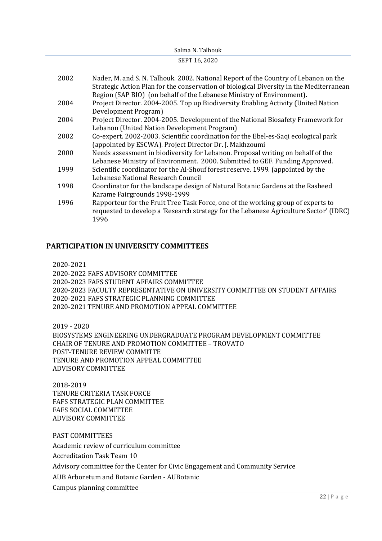#### Salma N. Talhouk SEPT 16, 2020

| 2002 | Nader, M. and S. N. Talhouk. 2002. National Report of the Country of Lebanon on the<br>Strategic Action Plan for the conservation of biological Diversity in the Mediterranean<br>Region (SAP BIO) (on behalf of the Lebanese Ministry of Environment). |
|------|---------------------------------------------------------------------------------------------------------------------------------------------------------------------------------------------------------------------------------------------------------|
| 2004 | Project Director. 2004-2005. Top up Biodiversity Enabling Activity (United Nation<br>Development Program)                                                                                                                                               |
| 2004 | Project Director. 2004-2005. Development of the National Biosafety Framework for<br>Lebanon (United Nation Development Program)                                                                                                                         |
| 2002 | Co-expert. 2002-2003. Scientific coordination for the Ebel-es-Saqi ecological park<br>(appointed by ESCWA). Project Director Dr. J. Makhzoumi                                                                                                           |
| 2000 | Needs assessment in biodiversity for Lebanon. Proposal writing on behalf of the<br>Lebanese Ministry of Environment. 2000. Submitted to GEF. Funding Approved.                                                                                          |
| 1999 | Scientific coordinator for the Al-Shouf forest reserve. 1999. (appointed by the<br>Lebanese National Research Council                                                                                                                                   |
| 1998 | Coordinator for the landscape design of Natural Botanic Gardens at the Rasheed<br>Karame Fairgrounds 1998-1999                                                                                                                                          |
| 1996 | Rapporteur for the Fruit Tree Task Force, one of the working group of experts to<br>requested to develop a 'Research strategy for the Lebanese Agriculture Sector' (IDRC)<br>1996                                                                       |

# **PARTICIPATION IN UNIVERSITY COMMITTEES**

2020-2021

2020-2022 FAFS ADVISORY COMMITTEE 2020-2023 FAFS STUDENT AFFAIRS COMMITTEE 2020-2023 FACULTY REPRESENTATIVE ON UNIVERSITY COMMITTEE ON STUDENT AFFAIRS 2020-2021 FAFS STRATEGIC PLANNING COMMITTEE 2020-2021 TENURE AND PROMOTION APPEAL COMMITTEE

2019 - 2020

BIOSYSTEMS ENGINEERING UNDERGRADUATE PROGRAM DEVELOPMENT COMMITTEE CHAIR OF TENURE AND PROMOTION COMMITTEE – TROVATO POST-TENURE REVIEW COMMITTE TENURE AND PROMOTION APPEAL COMMITTEE ADVISORY COMMITTEE

2018-2019 TENURE CRITERIA TASK FORCE FAFS STRATEGIC PLAN COMMITTEE FAFS SOCIAL COMMITTEE ADVISORY COMMITTEE

PAST COMMITTEES

Academic review of curriculum committee

Accreditation Task Team 10

Advisory committee for the Center for Civic Engagement and Community Service

AUB Arboretum and Botanic Garden - AUBotanic

Campus planning committee